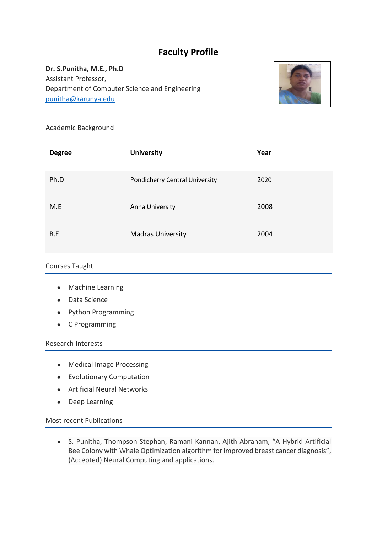# **Faculty Profile**

**Dr. S.Punitha, M.E., Ph.D** Assistant Professor, Department of Computer Science and Engineering [punitha@karunya.edu](mailto:punitha@karunya.edu)



## Academic Background

| <b>Degree</b> | <b>University</b>              | Year |
|---------------|--------------------------------|------|
| Ph.D          | Pondicherry Central University | 2020 |
| M.E           | Anna University                | 2008 |
| B.E           | <b>Madras University</b>       | 2004 |

#### Courses Taught

- Machine Learning
- Data Science
- Python Programming
- C Programming

#### Research Interests

- Medical Image Processing
- Evolutionary Computation
- Artificial Neural Networks
- Deep Learning

Most recent Publications

● S. Punitha, Thompson Stephan, Ramani Kannan, Ajith Abraham, "A Hybrid Artificial Bee Colony with Whale Optimization algorithm for improved breast cancer diagnosis", (Accepted) Neural Computing and applications.